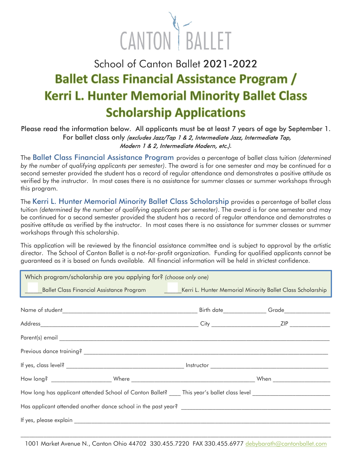

## School of Canton Ballet 2021-2022 **Ballet Class Financial Assistance Program / Kerri L. Hunter Memorial Minority Ballet Class Scholarship Applications**

## Please read the information below. All applicants must be at least 7 years of age by September 1. For ballet class only (excludes Jazz/Tap 1 & 2, Intermediate Jazz, Intermediate Tap, Modern 1 & 2, Intermediate Modern, etc.).

The Ballet Class Financial Assistance Program provides a percentage of ballet class tuition *(determined by the number of qualifying applicants per semester)*. The award is for one semester and may be continued for a second semester provided the student has a record of regular attendance and demonstrates a positive attitude as verified by the instructor. In most cases there is no assistance for summer classes or summer workshops through this program.

The Kerri L. Hunter Memorial Minority Ballet Class Scholarship provides a percentage of ballet class tuition *(determined by the number of qualifying applicants per semester)*. The award is for one semester and may be continued for a second semester provided the student has a record of regular attendance and demonstrates a positive attitude as verified by the instructor. In most cases there is no assistance for summer classes or summer workshops through this scholarship.

This application will be reviewed by the financial assistance committee and is subject to approval by the artistic director. The School of Canton Ballet is a not-for-profit organization. Funding for qualified applicants cannot be guaranteed as it is based on funds available. All financial information will be held in strictest confidence.

| Which program/scholarship are you applying for? (choose only one)                                                  |  |  |  |  |
|--------------------------------------------------------------------------------------------------------------------|--|--|--|--|
| Ballet Class Financial Assistance Program ___________Kerri L. Hunter Memorial Minority Ballet Class Scholarship    |  |  |  |  |
|                                                                                                                    |  |  |  |  |
|                                                                                                                    |  |  |  |  |
|                                                                                                                    |  |  |  |  |
|                                                                                                                    |  |  |  |  |
|                                                                                                                    |  |  |  |  |
|                                                                                                                    |  |  |  |  |
| How long has applicant attended School of Canton Ballet? ____ This year's ballet class level _____________________ |  |  |  |  |
| Has applicant attended another dance school in the past year?                                                      |  |  |  |  |
|                                                                                                                    |  |  |  |  |

 $\_$  , and the state of the state of the state of the state of the state of the state of the state of the state of the state of the state of the state of the state of the state of the state of the state of the state of the 1001 Market Avenue N., Canton Ohio 44702 330.455.7220 FAX 330.455.6977 [debybarath@cantonballet.com](mailto:debybarath@cantonballet.com)